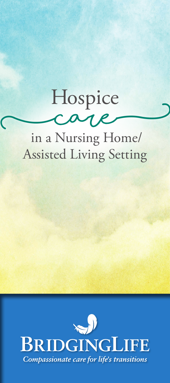## **(** Assisted Living Setting in a Nursing Home/ Hospice **care)**

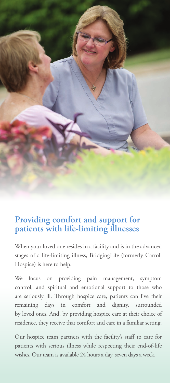

## **Providing comfort and support for patients with life-limiting illnesses**

When your loved one resides in a facility and is in the advanced stages of a life-limiting illness, BridgingLife (formerly Carroll Hospice) is here to help.

We focus on providing pain management, symptom control, and spiritual and emotional support to those who are seriously ill. Through hospice care, patients can live their remaining days in comfort and dignity, surrounded by loved ones. And, by providing hospice care at their choice of residence, they receive that comfort and care in a familiar setting.

Our hospice team partners with the facility's staff to care for patients with serious illness while respecting their end-of-life wishes. Our team is available 24 hours a day, seven days a week.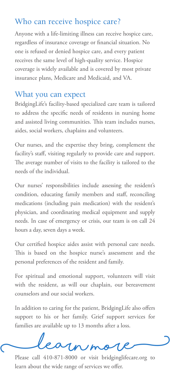## Who can receive hospice care?

Anyone with a life-limiting illness can receive hospice care, regardless of insurance coverage or financial situation. No one is refused or denied hospice care, and every patient receives the same level of high-quality service. Hospice coverage is widely available and is covered by most private insurance plans, Medicare and Medicaid, and VA.

## What you can expect

BridgingLife's facility-based specialized care team is tailored to address the specific needs of residents in nursing home and assisted living communities. This team includes nurses, aides, social workers, chaplains and volunteers.

Our nurses, and the expertise they bring, complement the facility's staff, visiting regularly to provide care and support. The average number of visits to the facility is tailored to the needs of the individual.

Our nurses' responsibilities include assessing the resident's condition, educating family members and staff, reconciling medications (including pain medication) with the resident's physician, and coordinating medical equipment and supply needs. In case of emergency or crisis, our team is on call 24 hours a day, seven days a week.

Our certified hospice aides assist with personal care needs. This is based on the hospice nurse's assessment and the personal preferences of the resident and family.

For spiritual and emotional support, volunteers will visit with the resident, as will our chaplain, our bereavement counselors and our social workers.

In addition to caring for the patient, BridgingLife also offers support to his or her family. Grief support services for families are available up to 13 months after a loss.

Please call 410-871-8000 or visit bridginglifecare.org to

learn about the wide range of services we offer.